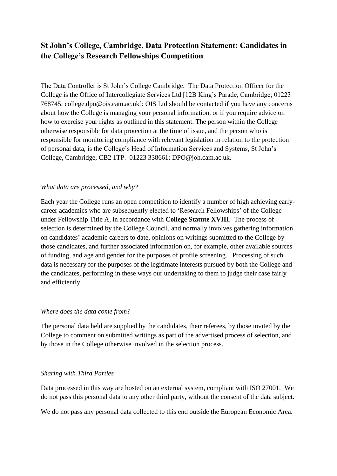# **St John's College, Cambridge, Data Protection Statement: Candidates in the College's Research Fellowships Competition**

The Data Controller is St John's College Cambridge. The Data Protection Officer for the College is the Office of Intercollegiate Services Ltd [12B King's Parade, Cambridge; 01223 768745; college.dpo@ois.cam.ac.uk]: OIS Ltd should be contacted if you have any concerns about how the College is managing your personal information, or if you require advice on how to exercise your rights as outlined in this statement. The person within the College otherwise responsible for data protection at the time of issue, and the person who is responsible for monitoring compliance with relevant legislation in relation to the protection of personal data, is the College's Head of Information Services and Systems, St John's College, Cambridge, CB2 1TP. 01223 338661; [DPO@joh.cam.ac.uk.](mailto:amn1000@cam.ac.uk)

### *What data are processed, and why?*

Each year the College runs an open competition to identify a number of high achieving earlycareer academics who are subsequently elected to 'Research Fellowships' of the College under Fellowship Title A, in accordance with **College Statute XVIII**. The process of selection is determined by the College Council, and normally involves gathering information on candidates' academic careers to date, opinions on writings submitted to the College by those candidates, and further associated information on, for example, other available sources of funding, and age and gender for the purposes of profile screening. Processing of such data is necessary for the purposes of the legitimate interests pursued by both the College and the candidates, performing in these ways our undertaking to them to judge their case fairly and efficiently.

#### *Where does the data come from?*

The personal data held are supplied by the candidates, their referees, by those invited by the College to comment on submitted writings as part of the advertised process of selection, and by those in the College otherwise involved in the selection process.

### *Sharing with Third Parties*

Data processed in this way are hosted on an external system, compliant with ISO 27001. We do not pass this personal data to any other third party, without the consent of the data subject.

We do not pass any personal data collected to this end outside the European Economic Area.